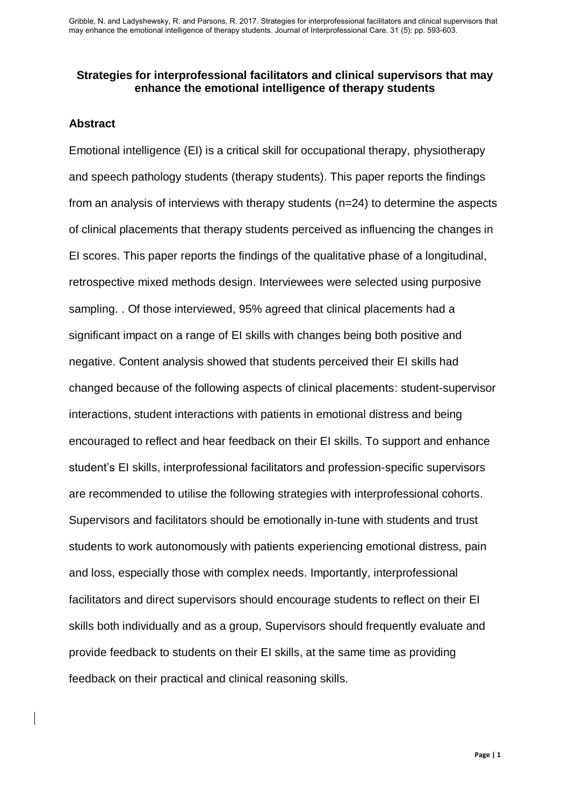## **Strategies for interprofessional facilitators and clinical supervisors that may enhance the emotional intelligence of therapy students**

## **Abstract**

Emotional intelligence (EI) is a critical skill for occupational therapy, physiotherapy and speech pathology students (therapy students). This paper reports the findings from an analysis of interviews with therapy students (n=24) to determine the aspects of clinical placements that therapy students perceived as influencing the changes in EI scores. This paper reports the findings of the qualitative phase of a longitudinal, retrospective mixed methods design. Interviewees were selected using purposive sampling. . Of those interviewed, 95% agreed that clinical placements had a significant impact on a range of EI skills with changes being both positive and negative. Content analysis showed that students perceived their EI skills had changed because of the following aspects of clinical placements: student-supervisor interactions, student interactions with patients in emotional distress and being encouraged to reflect and hear feedback on their EI skills. To support and enhance student's EI skills, interprofessional facilitators and profession-specific supervisors are recommended to utilise the following strategies with interprofessional cohorts. Supervisors and facilitators should be emotionally in-tune with students and trust students to work autonomously with patients experiencing emotional distress, pain and loss, especially those with complex needs. Importantly, interprofessional facilitators and direct supervisors should encourage students to reflect on their EI skills both individually and as a group, Supervisors should frequently evaluate and provide feedback to students on their EI skills, at the same time as providing feedback on their practical and clinical reasoning skills.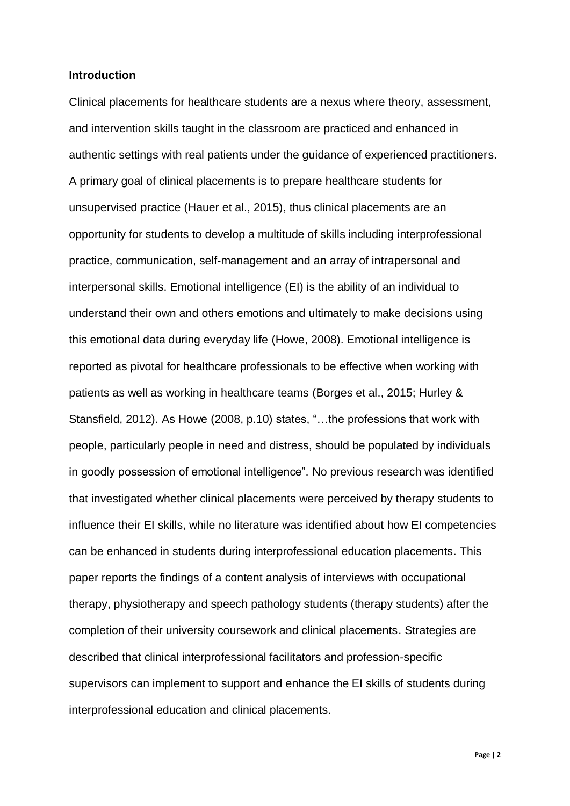#### **Introduction**

Clinical placements for healthcare students are a nexus where theory, assessment, and intervention skills taught in the classroom are practiced and enhanced in authentic settings with real patients under the guidance of experienced practitioners. A primary goal of clinical placements is to prepare healthcare students for unsupervised practice (Hauer et al., 2015), thus clinical placements are an opportunity for students to develop a multitude of skills including interprofessional practice, communication, self-management and an array of intrapersonal and interpersonal skills. Emotional intelligence (EI) is the ability of an individual to understand their own and others emotions and ultimately to make decisions using this emotional data during everyday life (Howe, 2008). Emotional intelligence is reported as pivotal for healthcare professionals to be effective when working with patients as well as working in healthcare teams (Borges et al., 2015; Hurley & Stansfield, 2012). As Howe (2008, p.10) states, "…the professions that work with people, particularly people in need and distress, should be populated by individuals in goodly possession of emotional intelligence". No previous research was identified that investigated whether clinical placements were perceived by therapy students to influence their EI skills, while no literature was identified about how EI competencies can be enhanced in students during interprofessional education placements. This paper reports the findings of a content analysis of interviews with occupational therapy, physiotherapy and speech pathology students (therapy students) after the completion of their university coursework and clinical placements. Strategies are described that clinical interprofessional facilitators and profession-specific supervisors can implement to support and enhance the EI skills of students during interprofessional education and clinical placements.

**Page | 2**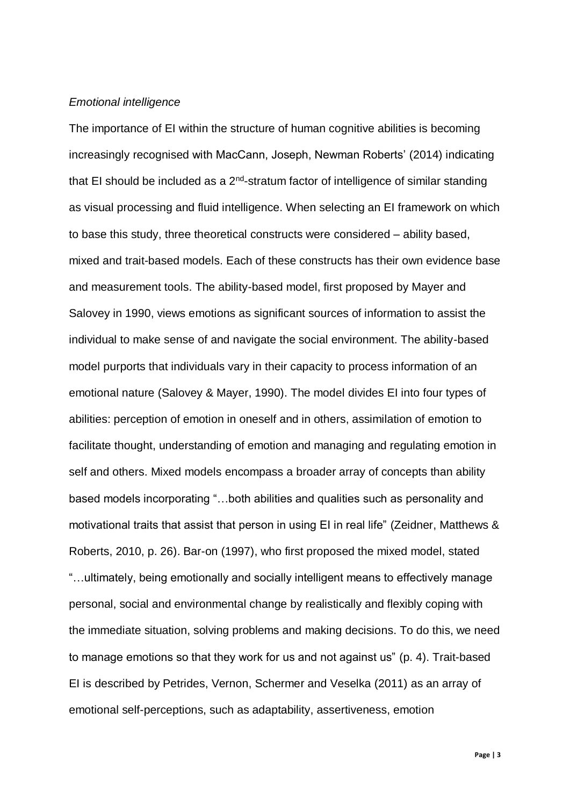#### *Emotional intelligence*

The importance of EI within the structure of human cognitive abilities is becoming increasingly recognised with MacCann, Joseph, Newman Roberts' (2014) indicating that EI should be included as a  $2^{nd}$ -stratum factor of intelligence of similar standing as visual processing and fluid intelligence. When selecting an EI framework on which to base this study, three theoretical constructs were considered – ability based, mixed and trait-based models. Each of these constructs has their own evidence base and measurement tools. The ability-based model, first proposed by Mayer and Salovey in 1990, views emotions as significant sources of information to assist the individual to make sense of and navigate the social environment. The ability-based model purports that individuals vary in their capacity to process information of an emotional nature (Salovey & Mayer, 1990). The model divides EI into four types of abilities: perception of emotion in oneself and in others, assimilation of emotion to facilitate thought, understanding of emotion and managing and regulating emotion in self and others. Mixed models encompass a broader array of concepts than ability based models incorporating "…both abilities and qualities such as personality and motivational traits that assist that person in using EI in real life" (Zeidner, Matthews & Roberts, 2010, p. 26). Bar-on (1997), who first proposed the mixed model, stated "…ultimately, being emotionally and socially intelligent means to effectively manage personal, social and environmental change by realistically and flexibly coping with the immediate situation, solving problems and making decisions. To do this, we need to manage emotions so that they work for us and not against us" (p. 4). Trait-based EI is described by Petrides, Vernon, Schermer and Veselka (2011) as an array of emotional self-perceptions, such as adaptability, assertiveness, emotion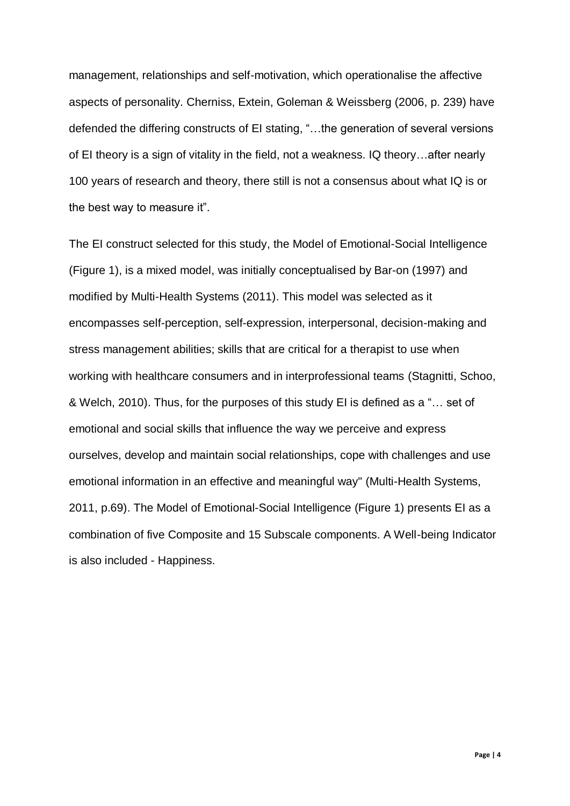management, relationships and self-motivation, which operationalise the affective aspects of personality. Cherniss, Extein, Goleman & Weissberg (2006, p. 239) have defended the differing constructs of EI stating, "…the generation of several versions of EI theory is a sign of vitality in the field, not a weakness. IQ theory…after nearly 100 years of research and theory, there still is not a consensus about what IQ is or the best way to measure it".

The EI construct selected for this study, the Model of Emotional-Social Intelligence (Figure 1), is a mixed model, was initially conceptualised by Bar-on (1997) and modified by Multi-Health Systems (2011). This model was selected as it encompasses self-perception, self-expression, interpersonal, decision-making and stress management abilities; skills that are critical for a therapist to use when working with healthcare consumers and in interprofessional teams (Stagnitti, Schoo, & Welch, 2010). Thus, for the purposes of this study EI is defined as a "… set of emotional and social skills that influence the way we perceive and express ourselves, develop and maintain social relationships, cope with challenges and use emotional information in an effective and meaningful way" (Multi-Health Systems, 2011, p.69). The Model of Emotional-Social Intelligence (Figure 1) presents EI as a combination of five Composite and 15 Subscale components. A Well-being Indicator is also included - Happiness.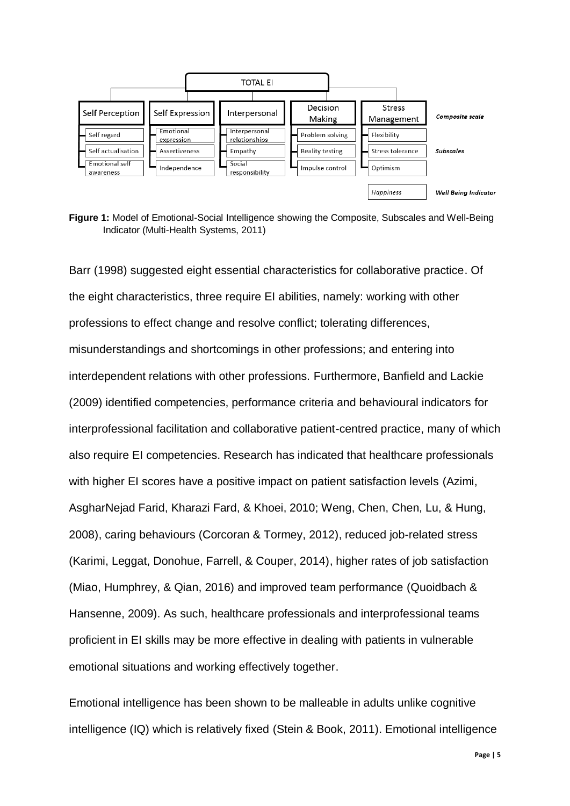

**Figure 1:** Model of Emotional-Social Intelligence showing the Composite, Subscales and Well-Being Indicator (Multi-Health Systems, 2011)

Barr (1998) suggested eight essential characteristics for collaborative practice. Of the eight characteristics, three require EI abilities, namely: working with other professions to effect change and resolve conflict; tolerating differences, misunderstandings and shortcomings in other professions; and entering into interdependent relations with other professions. Furthermore, Banfield and Lackie (2009) identified competencies, performance criteria and behavioural indicators for interprofessional facilitation and collaborative patient-centred practice, many of which also require EI competencies. Research has indicated that healthcare professionals with higher EI scores have a positive impact on patient satisfaction levels (Azimi, AsgharNejad Farid, Kharazi Fard, & Khoei, 2010; Weng, Chen, Chen, Lu, & Hung, 2008), caring behaviours (Corcoran & Tormey, 2012), reduced job-related stress (Karimi, Leggat, Donohue, Farrell, & Couper, 2014), higher rates of job satisfaction (Miao, Humphrey, & Qian, 2016) and improved team performance (Quoidbach & Hansenne, 2009). As such, healthcare professionals and interprofessional teams proficient in EI skills may be more effective in dealing with patients in vulnerable emotional situations and working effectively together.

Emotional intelligence has been shown to be malleable in adults unlike cognitive intelligence (IQ) which is relatively fixed (Stein & Book, 2011). Emotional intelligence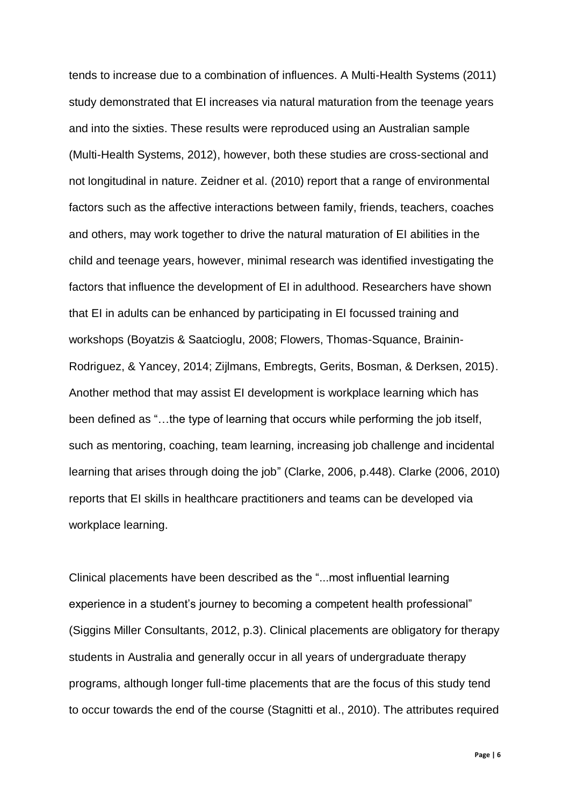tends to increase due to a combination of influences. A Multi-Health Systems (2011) study demonstrated that EI increases via natural maturation from the teenage years and into the sixties. These results were reproduced using an Australian sample (Multi-Health Systems, 2012), however, both these studies are cross-sectional and not longitudinal in nature. Zeidner et al. (2010) report that a range of environmental factors such as the affective interactions between family, friends, teachers, coaches and others, may work together to drive the natural maturation of EI abilities in the child and teenage years, however, minimal research was identified investigating the factors that influence the development of EI in adulthood. Researchers have shown that EI in adults can be enhanced by participating in EI focussed training and workshops (Boyatzis & Saatcioglu, 2008; Flowers, Thomas-Squance, Brainin-Rodriguez, & Yancey, 2014; Zijlmans, Embregts, Gerits, Bosman, & Derksen, 2015). Another method that may assist EI development is workplace learning which has been defined as "…the type of learning that occurs while performing the job itself, such as mentoring, coaching, team learning, increasing job challenge and incidental learning that arises through doing the job" (Clarke, 2006, p.448). Clarke (2006, 2010) reports that EI skills in healthcare practitioners and teams can be developed via workplace learning.

Clinical placements have been described as the "...most influential learning experience in a student's journey to becoming a competent health professional" (Siggins Miller Consultants, 2012, p.3). Clinical placements are obligatory for therapy students in Australia and generally occur in all years of undergraduate therapy programs, although longer full-time placements that are the focus of this study tend to occur towards the end of the course (Stagnitti et al., 2010). The attributes required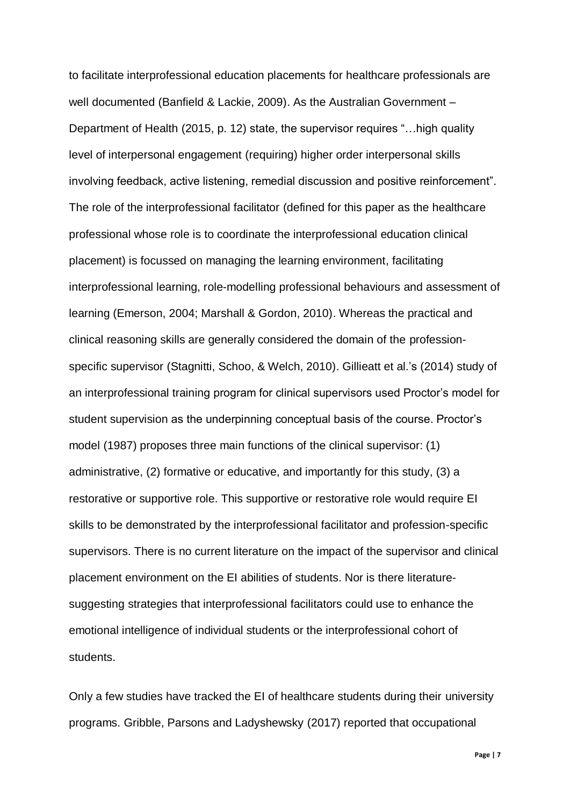to facilitate interprofessional education placements for healthcare professionals are well documented (Banfield & Lackie, 2009). As the Australian Government – Department of Health (2015, p. 12) state, the supervisor requires "…high quality level of interpersonal engagement (requiring) higher order interpersonal skills involving feedback, active listening, remedial discussion and positive reinforcement". The role of the interprofessional facilitator (defined for this paper as the healthcare professional whose role is to coordinate the interprofessional education clinical placement) is focussed on managing the learning environment, facilitating interprofessional learning, role-modelling professional behaviours and assessment of learning (Emerson, 2004; Marshall & Gordon, 2010). Whereas the practical and clinical reasoning skills are generally considered the domain of the professionspecific supervisor (Stagnitti, Schoo, & Welch, 2010). Gillieatt et al.'s (2014) study of an interprofessional training program for clinical supervisors used Proctor's model for student supervision as the underpinning conceptual basis of the course. Proctor's model (1987) proposes three main functions of the clinical supervisor: (1) administrative, (2) formative or educative, and importantly for this study, (3) a restorative or supportive role. This supportive or restorative role would require EI skills to be demonstrated by the interprofessional facilitator and profession-specific supervisors. There is no current literature on the impact of the supervisor and clinical placement environment on the EI abilities of students. Nor is there literaturesuggesting strategies that interprofessional facilitators could use to enhance the emotional intelligence of individual students or the interprofessional cohort of students.

Only a few studies have tracked the EI of healthcare students during their university programs. Gribble, Parsons and Ladyshewsky (2017) reported that occupational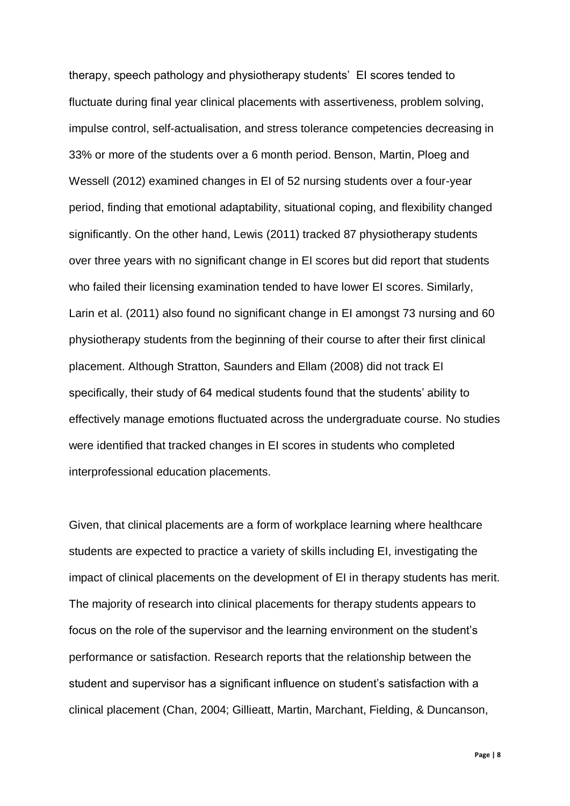therapy, speech pathology and physiotherapy students' EI scores tended to fluctuate during final year clinical placements with assertiveness, problem solving, impulse control, self-actualisation, and stress tolerance competencies decreasing in 33% or more of the students over a 6 month period. Benson, Martin, Ploeg and Wessell (2012) examined changes in EI of 52 nursing students over a four-year period, finding that emotional adaptability, situational coping, and flexibility changed significantly. On the other hand, Lewis (2011) tracked 87 physiotherapy students over three years with no significant change in EI scores but did report that students who failed their licensing examination tended to have lower EI scores. Similarly, Larin et al. (2011) also found no significant change in EI amongst 73 nursing and 60 physiotherapy students from the beginning of their course to after their first clinical placement. Although Stratton, Saunders and Ellam (2008) did not track EI specifically, their study of 64 medical students found that the students' ability to effectively manage emotions fluctuated across the undergraduate course. No studies were identified that tracked changes in EI scores in students who completed interprofessional education placements.

Given, that clinical placements are a form of workplace learning where healthcare students are expected to practice a variety of skills including EI, investigating the impact of clinical placements on the development of EI in therapy students has merit. The majority of research into clinical placements for therapy students appears to focus on the role of the supervisor and the learning environment on the student's performance or satisfaction. Research reports that the relationship between the student and supervisor has a significant influence on student's satisfaction with a clinical placement (Chan, 2004; Gillieatt, Martin, Marchant, Fielding, & Duncanson,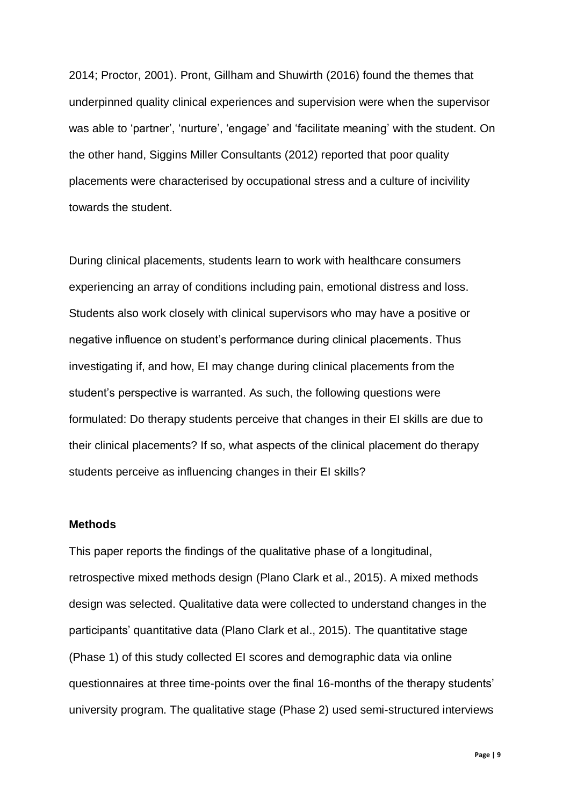2014; Proctor, 2001). Pront, Gillham and Shuwirth (2016) found the themes that underpinned quality clinical experiences and supervision were when the supervisor was able to 'partner', 'nurture', 'engage' and 'facilitate meaning' with the student. On the other hand, Siggins Miller Consultants (2012) reported that poor quality placements were characterised by occupational stress and a culture of incivility towards the student.

During clinical placements, students learn to work with healthcare consumers experiencing an array of conditions including pain, emotional distress and loss. Students also work closely with clinical supervisors who may have a positive or negative influence on student's performance during clinical placements. Thus investigating if, and how, EI may change during clinical placements from the student's perspective is warranted. As such, the following questions were formulated: Do therapy students perceive that changes in their EI skills are due to their clinical placements? If so, what aspects of the clinical placement do therapy students perceive as influencing changes in their EI skills?

### **Methods**

This paper reports the findings of the qualitative phase of a longitudinal, retrospective mixed methods design (Plano Clark et al., 2015). A mixed methods design was selected. Qualitative data were collected to understand changes in the participants' quantitative data (Plano Clark et al., 2015). The quantitative stage (Phase 1) of this study collected EI scores and demographic data via online questionnaires at three time-points over the final 16-months of the therapy students' university program. The qualitative stage (Phase 2) used semi-structured interviews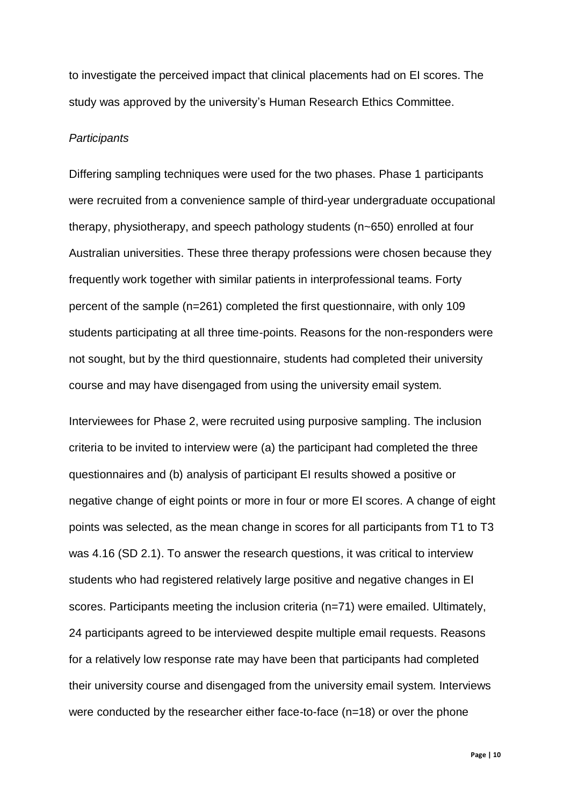to investigate the perceived impact that clinical placements had on EI scores. The study was approved by the university's Human Research Ethics Committee.

#### *Participants*

Differing sampling techniques were used for the two phases. Phase 1 participants were recruited from a convenience sample of third-year undergraduate occupational therapy, physiotherapy, and speech pathology students (n~650) enrolled at four Australian universities. These three therapy professions were chosen because they frequently work together with similar patients in interprofessional teams. Forty percent of the sample (n=261) completed the first questionnaire, with only 109 students participating at all three time-points. Reasons for the non-responders were not sought, but by the third questionnaire, students had completed their university course and may have disengaged from using the university email system.

Interviewees for Phase 2, were recruited using purposive sampling. The inclusion criteria to be invited to interview were (a) the participant had completed the three questionnaires and (b) analysis of participant EI results showed a positive or negative change of eight points or more in four or more EI scores. A change of eight points was selected, as the mean change in scores for all participants from T1 to T3 was 4.16 (SD 2.1). To answer the research questions, it was critical to interview students who had registered relatively large positive and negative changes in EI scores. Participants meeting the inclusion criteria (n=71) were emailed. Ultimately, 24 participants agreed to be interviewed despite multiple email requests. Reasons for a relatively low response rate may have been that participants had completed their university course and disengaged from the university email system. Interviews were conducted by the researcher either face-to-face (n=18) or over the phone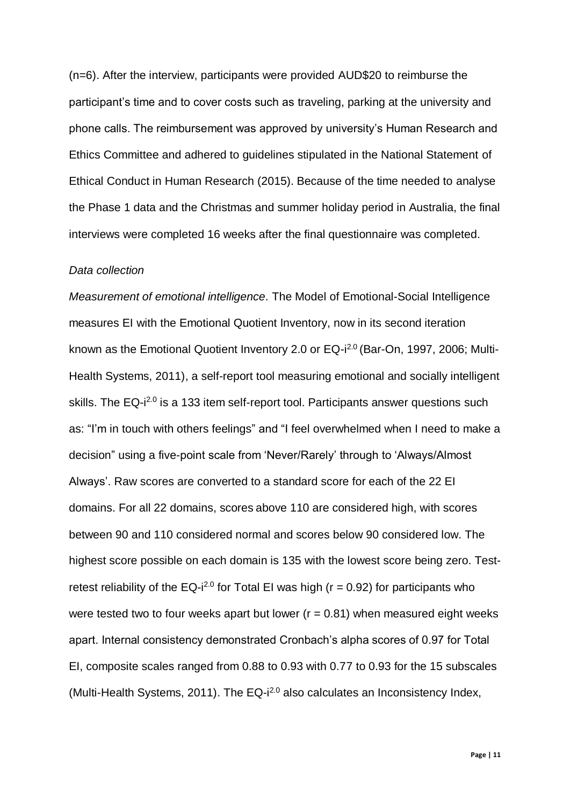(n=6). After the interview, participants were provided AUD\$20 to reimburse the participant's time and to cover costs such as traveling, parking at the university and phone calls. The reimbursement was approved by university's Human Research and Ethics Committee and adhered to guidelines stipulated in the National Statement of Ethical Conduct in Human Research (2015). Because of the time needed to analyse the Phase 1 data and the Christmas and summer holiday period in Australia, the final interviews were completed 16 weeks after the final questionnaire was completed.

#### *Data collection*

*Measurement of emotional intelligence.* The Model of Emotional-Social Intelligence measures EI with the Emotional Quotient Inventory, now in its second iteration known as the Emotional Quotient Inventory 2.0 or EQ-i<sup>2.0</sup> (Bar-On, 1997, 2006; Multi-Health Systems, 2011), a self-report tool measuring emotional and socially intelligent skills. The EQ-i<sup>2.0</sup> is a 133 item self-report tool. Participants answer questions such as: "I'm in touch with others feelings" and "I feel overwhelmed when I need to make a decision" using a five-point scale from 'Never/Rarely' through to 'Always/Almost Always'. Raw scores are converted to a standard score for each of the 22 EI domains. For all 22 domains, scores above 110 are considered high, with scores between 90 and 110 considered normal and scores below 90 considered low. The highest score possible on each domain is 135 with the lowest score being zero. Testretest reliability of the EQ-i<sup>2.0</sup> for Total EI was high ( $r = 0.92$ ) for participants who were tested two to four weeks apart but lower ( $r = 0.81$ ) when measured eight weeks apart. Internal consistency demonstrated Cronbach's alpha scores of 0.97 for Total EI, composite scales ranged from 0.88 to 0.93 with 0.77 to 0.93 for the 15 subscales (Multi-Health Systems, 2011). The EQ-i<sup>2.0</sup> also calculates an Inconsistency Index,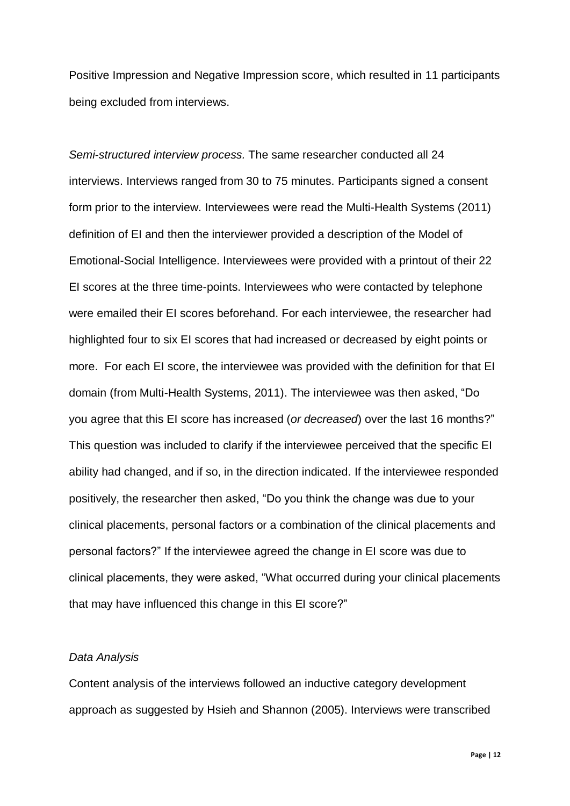Positive Impression and Negative Impression score, which resulted in 11 participants being excluded from interviews.

*Semi-structured interview process.* The same researcher conducted all 24 interviews. Interviews ranged from 30 to 75 minutes. Participants signed a consent form prior to the interview. Interviewees were read the Multi-Health Systems (2011) definition of EI and then the interviewer provided a description of the Model of Emotional-Social Intelligence. Interviewees were provided with a printout of their 22 EI scores at the three time-points. Interviewees who were contacted by telephone were emailed their EI scores beforehand. For each interviewee, the researcher had highlighted four to six EI scores that had increased or decreased by eight points or more. For each EI score, the interviewee was provided with the definition for that EI domain (from Multi-Health Systems, 2011). The interviewee was then asked, "Do you agree that this EI score has increased (*or decreased*) over the last 16 months?" This question was included to clarify if the interviewee perceived that the specific EI ability had changed, and if so, in the direction indicated. If the interviewee responded positively, the researcher then asked, "Do you think the change was due to your clinical placements, personal factors or a combination of the clinical placements and personal factors?" If the interviewee agreed the change in EI score was due to clinical placements, they were asked, "What occurred during your clinical placements that may have influenced this change in this EI score?"

### *Data Analysis*

Content analysis of the interviews followed an inductive category development approach as suggested by Hsieh and Shannon (2005). Interviews were transcribed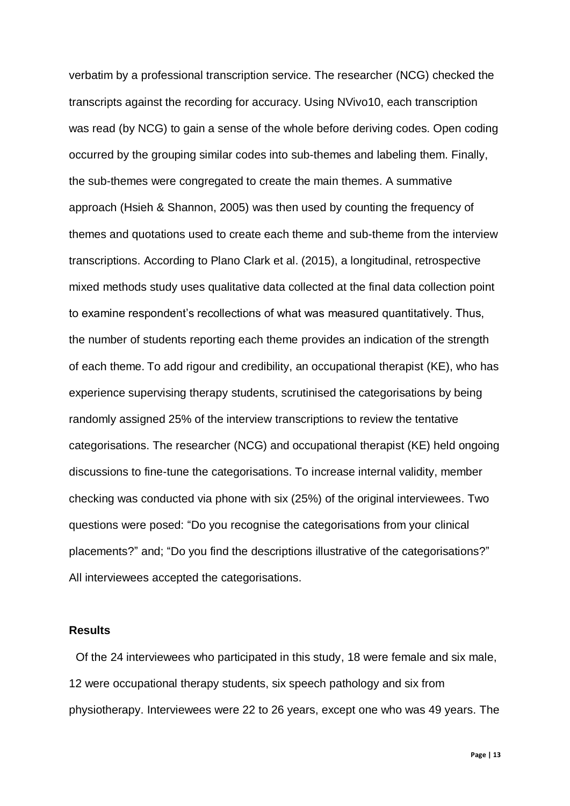verbatim by a professional transcription service. The researcher (NCG) checked the transcripts against the recording for accuracy. Using NVivo10, each transcription was read (by NCG) to gain a sense of the whole before deriving codes. Open coding occurred by the grouping similar codes into sub-themes and labeling them. Finally, the sub-themes were congregated to create the main themes. A summative approach (Hsieh & Shannon, 2005) was then used by counting the frequency of themes and quotations used to create each theme and sub-theme from the interview transcriptions. According to Plano Clark et al. (2015), a longitudinal, retrospective mixed methods study uses qualitative data collected at the final data collection point to examine respondent's recollections of what was measured quantitatively. Thus, the number of students reporting each theme provides an indication of the strength of each theme. To add rigour and credibility, an occupational therapist (KE), who has experience supervising therapy students, scrutinised the categorisations by being randomly assigned 25% of the interview transcriptions to review the tentative categorisations. The researcher (NCG) and occupational therapist (KE) held ongoing discussions to fine-tune the categorisations. To increase internal validity, member checking was conducted via phone with six (25%) of the original interviewees. Two questions were posed: "Do you recognise the categorisations from your clinical placements?" and; "Do you find the descriptions illustrative of the categorisations?" All interviewees accepted the categorisations.

### **Results**

Of the 24 interviewees who participated in this study, 18 were female and six male, 12 were occupational therapy students, six speech pathology and six from physiotherapy. Interviewees were 22 to 26 years, except one who was 49 years. The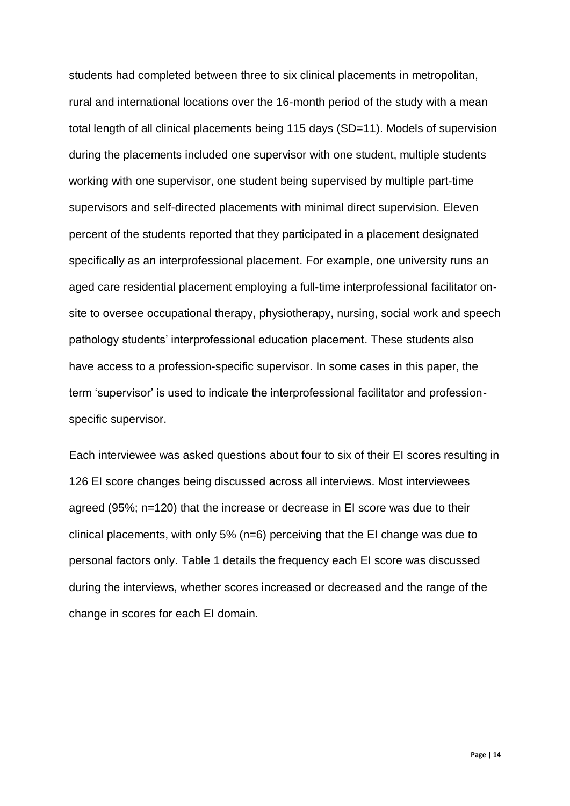students had completed between three to six clinical placements in metropolitan, rural and international locations over the 16-month period of the study with a mean total length of all clinical placements being 115 days (SD=11). Models of supervision during the placements included one supervisor with one student, multiple students working with one supervisor, one student being supervised by multiple part-time supervisors and self-directed placements with minimal direct supervision. Eleven percent of the students reported that they participated in a placement designated specifically as an interprofessional placement. For example, one university runs an aged care residential placement employing a full-time interprofessional facilitator onsite to oversee occupational therapy, physiotherapy, nursing, social work and speech pathology students' interprofessional education placement. These students also have access to a profession-specific supervisor. In some cases in this paper, the term 'supervisor' is used to indicate the interprofessional facilitator and professionspecific supervisor.

Each interviewee was asked questions about four to six of their EI scores resulting in 126 EI score changes being discussed across all interviews. Most interviewees agreed (95%; n=120) that the increase or decrease in EI score was due to their clinical placements, with only 5% (n=6) perceiving that the EI change was due to personal factors only. Table 1 details the frequency each EI score was discussed during the interviews, whether scores increased or decreased and the range of the change in scores for each EI domain.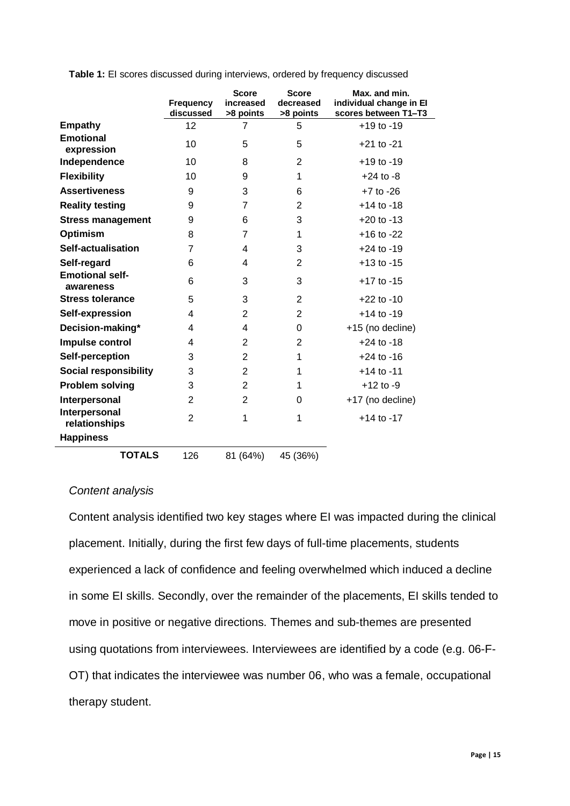|                                     | <b>Frequency</b><br>discussed | <b>Score</b><br>increased<br>>8 points | <b>Score</b><br>decreased<br>>8 points | Max. and min.<br>individual change in El<br>scores between T1-T3 |
|-------------------------------------|-------------------------------|----------------------------------------|----------------------------------------|------------------------------------------------------------------|
| <b>Empathy</b>                      | 12                            | 7                                      | 5                                      | $+19$ to $-19$                                                   |
| <b>Emotional</b><br>expression      | 10                            | 5                                      | 5                                      | $+21$ to $-21$                                                   |
| Independence                        | 10                            | 8                                      | $\overline{2}$                         | $+19$ to $-19$                                                   |
| <b>Flexibility</b>                  | 10                            | 9                                      | 1                                      | $+24$ to $-8$                                                    |
| <b>Assertiveness</b>                | 9                             | 3                                      | 6                                      | $+7$ to $-26$                                                    |
| <b>Reality testing</b>              | 9                             | 7                                      | 2                                      | $+14$ to $-18$                                                   |
| <b>Stress management</b>            | 9                             | 6                                      | 3                                      | $+20$ to $-13$                                                   |
| <b>Optimism</b>                     | 8                             | 7                                      | 1                                      | $+16$ to $-22$                                                   |
| <b>Self-actualisation</b>           | 7                             | 4                                      | 3                                      | $+24$ to $-19$                                                   |
| Self-regard                         | 6                             | 4                                      | 2                                      | $+13$ to $-15$                                                   |
| <b>Emotional self-</b><br>awareness | 6                             | 3                                      | 3                                      | $+17$ to $-15$                                                   |
| <b>Stress tolerance</b>             | 5                             | 3                                      | $\overline{2}$                         | $+22$ to $-10$                                                   |
| Self-expression                     | 4                             | 2                                      | $\overline{2}$                         | $+14$ to $-19$                                                   |
| Decision-making*                    | 4                             | 4                                      | $\Omega$                               | +15 (no decline)                                                 |
| Impulse control                     | 4                             | 2                                      | 2                                      | $+24$ to $-18$                                                   |
| Self-perception                     | 3                             | $\overline{2}$                         | 1                                      | $+24$ to $-16$                                                   |
| <b>Social responsibility</b>        | 3                             | $\overline{2}$                         | 1                                      | $+14$ to $-11$                                                   |
| <b>Problem solving</b>              | 3                             | $\overline{2}$                         | 1                                      | $+12$ to $-9$                                                    |
| Interpersonal                       | $\overline{2}$                | $\overline{2}$                         | 0                                      | +17 (no decline)                                                 |
| Interpersonal<br>relationships      | $\overline{2}$                | 1                                      | 1                                      | $+14$ to $-17$                                                   |
| <b>Happiness</b>                    |                               |                                        |                                        |                                                                  |
| <b>TOTALS</b>                       | 126                           | 81 (64%)                               | 45 (36%)                               |                                                                  |

**Table 1:** EI scores discussed during interviews, ordered by frequency discussed

### *Content analysis*

Content analysis identified two key stages where EI was impacted during the clinical placement. Initially, during the first few days of full-time placements, students experienced a lack of confidence and feeling overwhelmed which induced a decline in some EI skills. Secondly, over the remainder of the placements, EI skills tended to move in positive or negative directions. Themes and sub-themes are presented using quotations from interviewees. Interviewees are identified by a code (e.g. 06-F-OT) that indicates the interviewee was number 06, who was a female, occupational therapy student.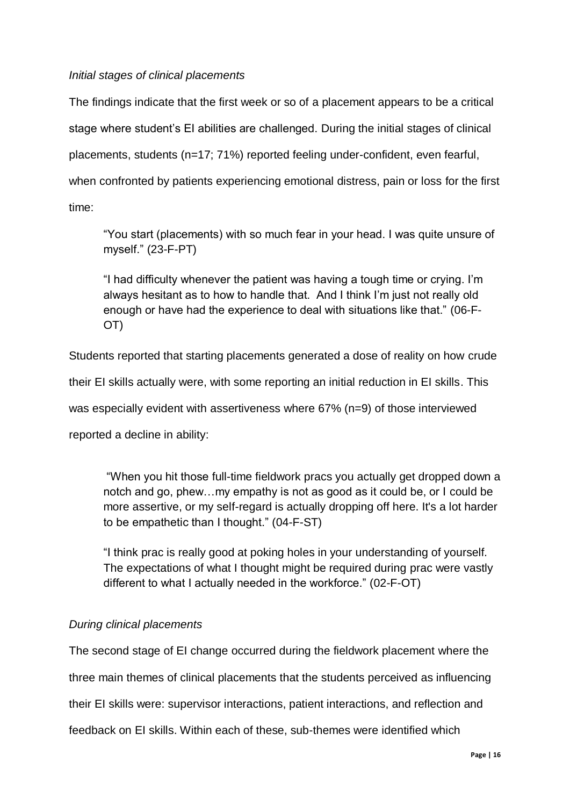## *Initial stages of clinical placements*

The findings indicate that the first week or so of a placement appears to be a critical stage where student's EI abilities are challenged. During the initial stages of clinical placements, students (n=17; 71%) reported feeling under-confident, even fearful, when confronted by patients experiencing emotional distress, pain or loss for the first time:

"You start (placements) with so much fear in your head. I was quite unsure of myself." (23-F-PT)

"I had difficulty whenever the patient was having a tough time or crying. I'm always hesitant as to how to handle that. And I think I'm just not really old enough or have had the experience to deal with situations like that." (06-F-OT)

Students reported that starting placements generated a dose of reality on how crude

their EI skills actually were, with some reporting an initial reduction in EI skills. This

was especially evident with assertiveness where 67% (n=9) of those interviewed

reported a decline in ability:

"When you hit those full-time fieldwork pracs you actually get dropped down a notch and go, phew…my empathy is not as good as it could be, or I could be more assertive, or my self-regard is actually dropping off here. It's a lot harder to be empathetic than I thought." (04-F-ST)

"I think prac is really good at poking holes in your understanding of yourself. The expectations of what I thought might be required during prac were vastly different to what I actually needed in the workforce." (02-F-OT)

## *During clinical placements*

The second stage of EI change occurred during the fieldwork placement where the three main themes of clinical placements that the students perceived as influencing their EI skills were: supervisor interactions, patient interactions, and reflection and feedback on EI skills. Within each of these, sub-themes were identified which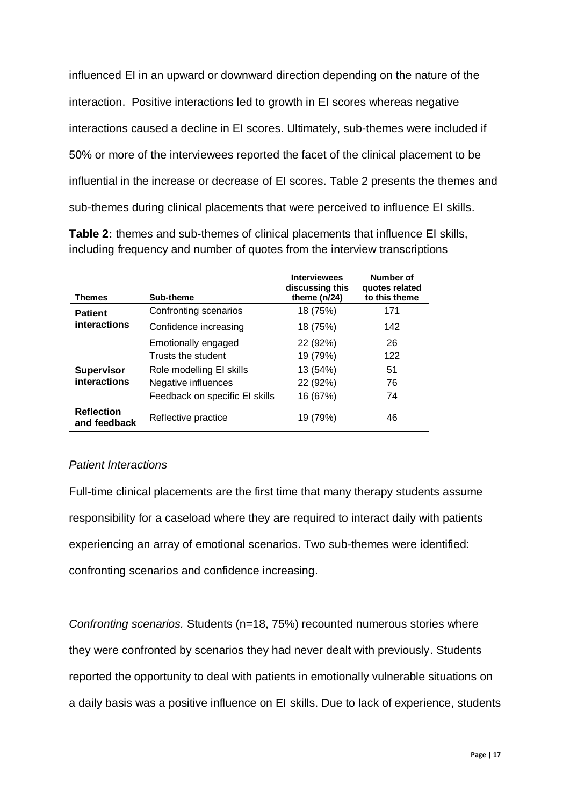influenced EI in an upward or downward direction depending on the nature of the interaction. Positive interactions led to growth in EI scores whereas negative interactions caused a decline in EI scores. Ultimately, sub-themes were included if 50% or more of the interviewees reported the facet of the clinical placement to be influential in the increase or decrease of EI scores. Table 2 presents the themes and sub-themes during clinical placements that were perceived to influence EI skills.

**Table 2:** themes and sub-themes of clinical placements that influence EI skills, including frequency and number of quotes from the interview transcriptions

| <b>Themes</b>                            | Sub-theme                      | <b>Interviewees</b><br>discussing this<br>theme $(n/24)$ | Number of<br>quotes related<br>to this theme |
|------------------------------------------|--------------------------------|----------------------------------------------------------|----------------------------------------------|
| <b>Patient</b><br>interactions           | Confronting scenarios          | 18 (75%)                                                 | 171                                          |
|                                          | Confidence increasing          | 18 (75%)                                                 | 142                                          |
|                                          | Emotionally engaged            | 22 (92%)                                                 | 26                                           |
| <b>Supervisor</b><br><b>interactions</b> | Trusts the student             | 19 (79%)                                                 | 122                                          |
|                                          | Role modelling EI skills       | 13 (54%)                                                 | 51                                           |
|                                          | Negative influences            | 22 (92%)                                                 | 76                                           |
|                                          | Feedback on specific El skills | 16 (67%)                                                 | 74                                           |
| <b>Reflection</b><br>and feedback        | Reflective practice            | 19 (79%)                                                 | 46                                           |

## *Patient Interactions*

Full-time clinical placements are the first time that many therapy students assume responsibility for a caseload where they are required to interact daily with patients experiencing an array of emotional scenarios. Two sub-themes were identified: confronting scenarios and confidence increasing.

*Confronting scenarios.* Students (n=18, 75%) recounted numerous stories where they were confronted by scenarios they had never dealt with previously. Students reported the opportunity to deal with patients in emotionally vulnerable situations on a daily basis was a positive influence on EI skills. Due to lack of experience, students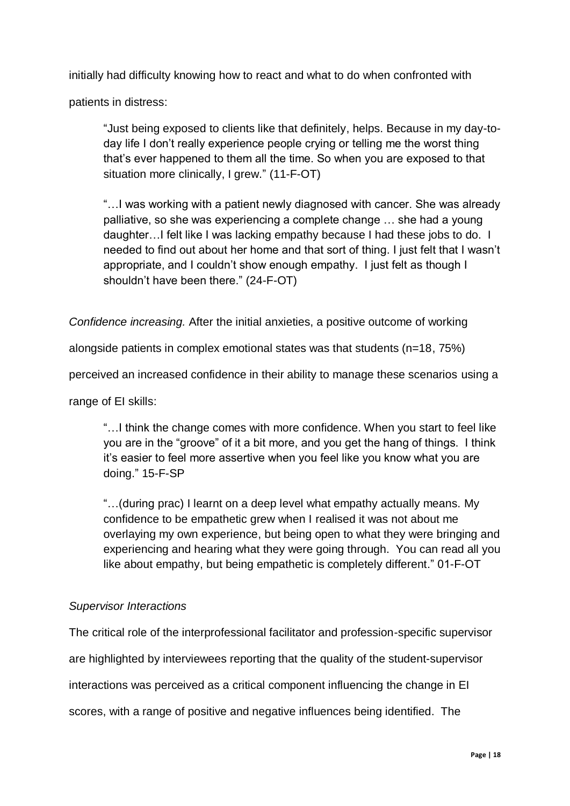initially had difficulty knowing how to react and what to do when confronted with

patients in distress:

"Just being exposed to clients like that definitely, helps. Because in my day-today life I don't really experience people crying or telling me the worst thing that's ever happened to them all the time. So when you are exposed to that situation more clinically, I grew." (11-F-OT)

"…I was working with a patient newly diagnosed with cancer. She was already palliative, so she was experiencing a complete change … she had a young daughter…I felt like I was lacking empathy because I had these jobs to do. I needed to find out about her home and that sort of thing. I just felt that I wasn't appropriate, and I couldn't show enough empathy. I just felt as though I shouldn't have been there." (24-F-OT)

*Confidence increasing.* After the initial anxieties, a positive outcome of working

alongside patients in complex emotional states was that students (n=18, 75%)

perceived an increased confidence in their ability to manage these scenarios using a

range of EI skills:

"…I think the change comes with more confidence. When you start to feel like you are in the "groove" of it a bit more, and you get the hang of things. I think it's easier to feel more assertive when you feel like you know what you are doing." 15-F-SP

"…(during prac) I learnt on a deep level what empathy actually means. My confidence to be empathetic grew when I realised it was not about me overlaying my own experience, but being open to what they were bringing and experiencing and hearing what they were going through. You can read all you like about empathy, but being empathetic is completely different." 01-F-OT

#### *Supervisor Interactions*

The critical role of the interprofessional facilitator and profession-specific supervisor are highlighted by interviewees reporting that the quality of the student-supervisor interactions was perceived as a critical component influencing the change in EI scores, with a range of positive and negative influences being identified. The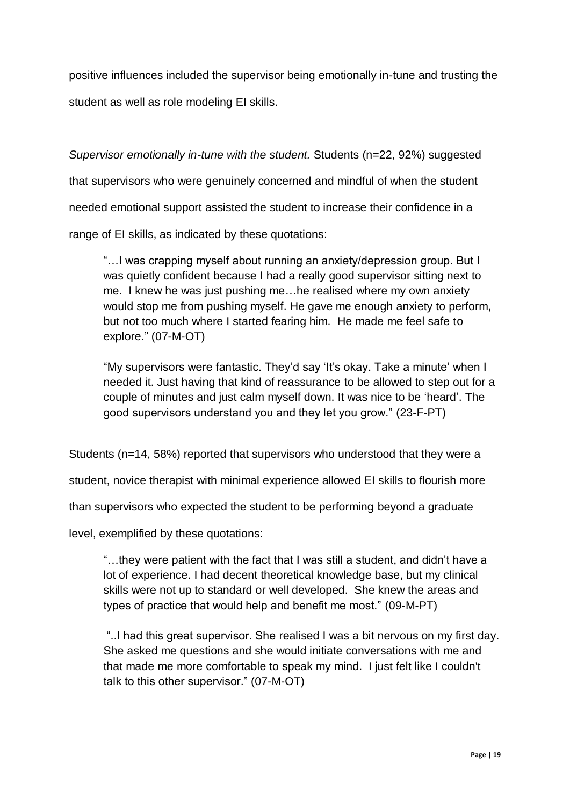positive influences included the supervisor being emotionally in-tune and trusting the student as well as role modeling EI skills.

*Supervisor emotionally in-tune with the student.* Students (n=22, 92%) suggested that supervisors who were genuinely concerned and mindful of when the student needed emotional support assisted the student to increase their confidence in a range of EI skills, as indicated by these quotations:

"…I was crapping myself about running an anxiety/depression group. But I was quietly confident because I had a really good supervisor sitting next to me. I knew he was just pushing me…he realised where my own anxiety would stop me from pushing myself. He gave me enough anxiety to perform, but not too much where I started fearing him. He made me feel safe to explore." (07-M-OT)

"My supervisors were fantastic. They'd say 'It's okay. Take a minute' when I needed it. Just having that kind of reassurance to be allowed to step out for a couple of minutes and just calm myself down. It was nice to be 'heard'. The good supervisors understand you and they let you grow." (23-F-PT)

Students (n=14, 58%) reported that supervisors who understood that they were a

student, novice therapist with minimal experience allowed EI skills to flourish more

than supervisors who expected the student to be performing beyond a graduate

level, exemplified by these quotations:

"…they were patient with the fact that I was still a student, and didn't have a lot of experience. I had decent theoretical knowledge base, but my clinical skills were not up to standard or well developed. She knew the areas and types of practice that would help and benefit me most." (09-M-PT)

"..I had this great supervisor. She realised I was a bit nervous on my first day. She asked me questions and she would initiate conversations with me and that made me more comfortable to speak my mind. I just felt like I couldn't talk to this other supervisor." (07-M-OT)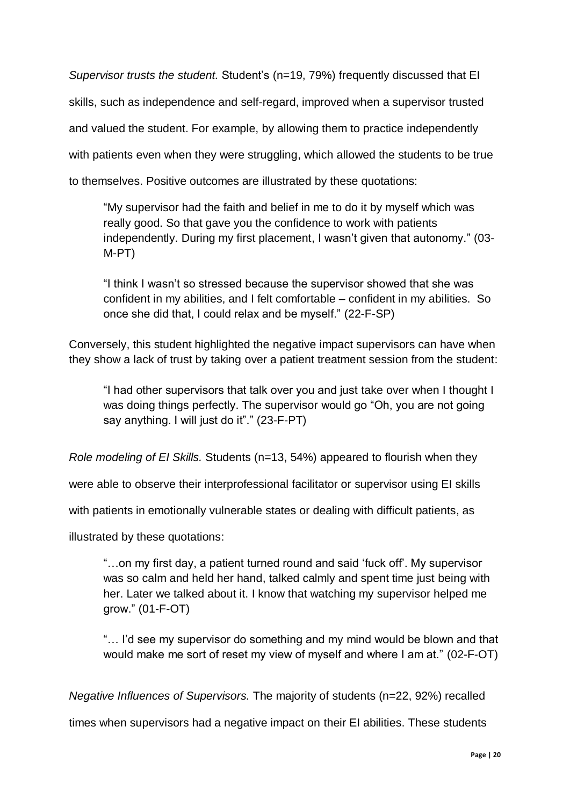*Supervisor trusts the student.* Student's (n=19, 79%) frequently discussed that EI skills, such as independence and self-regard, improved when a supervisor trusted and valued the student. For example, by allowing them to practice independently with patients even when they were struggling, which allowed the students to be true to themselves. Positive outcomes are illustrated by these quotations:

"My supervisor had the faith and belief in me to do it by myself which was really good. So that gave you the confidence to work with patients independently. During my first placement, I wasn't given that autonomy." (03- M-PT)

"I think I wasn't so stressed because the supervisor showed that she was confident in my abilities, and I felt comfortable – confident in my abilities. So once she did that, I could relax and be myself." (22-F-SP)

Conversely, this student highlighted the negative impact supervisors can have when they show a lack of trust by taking over a patient treatment session from the student:

"I had other supervisors that talk over you and just take over when I thought I was doing things perfectly. The supervisor would go "Oh, you are not going say anything. I will just do it"." (23-F-PT)

*Role modeling of EI Skills.* Students (n=13, 54%) appeared to flourish when they

were able to observe their interprofessional facilitator or supervisor using EI skills

with patients in emotionally vulnerable states or dealing with difficult patients, as

illustrated by these quotations:

"…on my first day, a patient turned round and said 'fuck off'. My supervisor was so calm and held her hand, talked calmly and spent time just being with her. Later we talked about it. I know that watching my supervisor helped me grow." (01-F-OT)

"… I'd see my supervisor do something and my mind would be blown and that would make me sort of reset my view of myself and where I am at." (02-F-OT)

*Negative Influences of Supervisors.* The majority of students (n=22, 92%) recalled

times when supervisors had a negative impact on their EI abilities. These students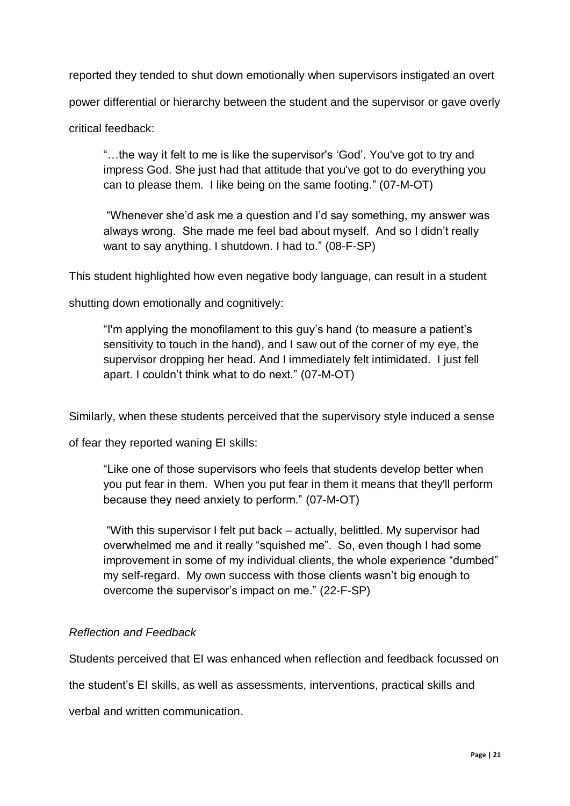reported they tended to shut down emotionally when supervisors instigated an overt

power differential or hierarchy between the student and the supervisor or gave overly

critical feedback:

"…the way it felt to me is like the supervisor's 'God'. You've got to try and impress God. She just had that attitude that you've got to do everything you can to please them. I like being on the same footing." (07-M-OT)

"Whenever she'd ask me a question and I'd say something, my answer was always wrong. She made me feel bad about myself. And so I didn't really want to say anything. I shutdown. I had to." (08-F-SP)

This student highlighted how even negative body language, can result in a student

shutting down emotionally and cognitively:

"I'm applying the monofilament to this guy's hand (to measure a patient's sensitivity to touch in the hand), and I saw out of the corner of my eye, the supervisor dropping her head. And I immediately felt intimidated. I just fell apart. I couldn't think what to do next." (07-M-OT)

Similarly, when these students perceived that the supervisory style induced a sense

of fear they reported waning EI skills:

"Like one of those supervisors who feels that students develop better when you put fear in them. When you put fear in them it means that they'll perform because they need anxiety to perform." (07-M-OT)

"With this supervisor I felt put back – actually, belittled. My supervisor had overwhelmed me and it really "squished me". So, even though I had some improvement in some of my individual clients, the whole experience "dumbed" my self-regard. My own success with those clients wasn't big enough to overcome the supervisor's impact on me." (22-F-SP)

# *Reflection and Feedback*

Students perceived that EI was enhanced when reflection and feedback focussed on

the student's EI skills, as well as assessments, interventions, practical skills and

verbal and written communication.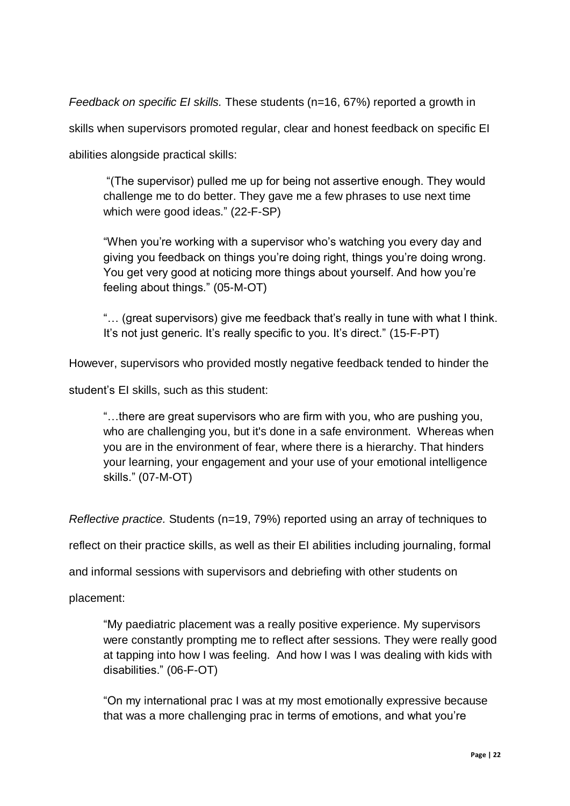*Feedback on specific EI skills.* These students (n=16, 67%) reported a growth in skills when supervisors promoted regular, clear and honest feedback on specific EI abilities alongside practical skills:

"(The supervisor) pulled me up for being not assertive enough. They would challenge me to do better. They gave me a few phrases to use next time which were good ideas." (22-F-SP)

"When you're working with a supervisor who's watching you every day and giving you feedback on things you're doing right, things you're doing wrong. You get very good at noticing more things about yourself. And how you're feeling about things." (05-M-OT)

"… (great supervisors) give me feedback that's really in tune with what I think. It's not just generic. It's really specific to you. It's direct." (15-F-PT)

However, supervisors who provided mostly negative feedback tended to hinder the

student's EI skills, such as this student:

"…there are great supervisors who are firm with you, who are pushing you, who are challenging you, but it's done in a safe environment. Whereas when you are in the environment of fear, where there is a hierarchy. That hinders your learning, your engagement and your use of your emotional intelligence skills." (07-M-OT)

*Reflective practice.* Students (n=19, 79%) reported using an array of techniques to

reflect on their practice skills, as well as their EI abilities including journaling, formal

and informal sessions with supervisors and debriefing with other students on

placement:

"My paediatric placement was a really positive experience. My supervisors were constantly prompting me to reflect after sessions. They were really good at tapping into how I was feeling. And how I was I was dealing with kids with disabilities." (06-F-OT)

"On my international prac I was at my most emotionally expressive because that was a more challenging prac in terms of emotions, and what you're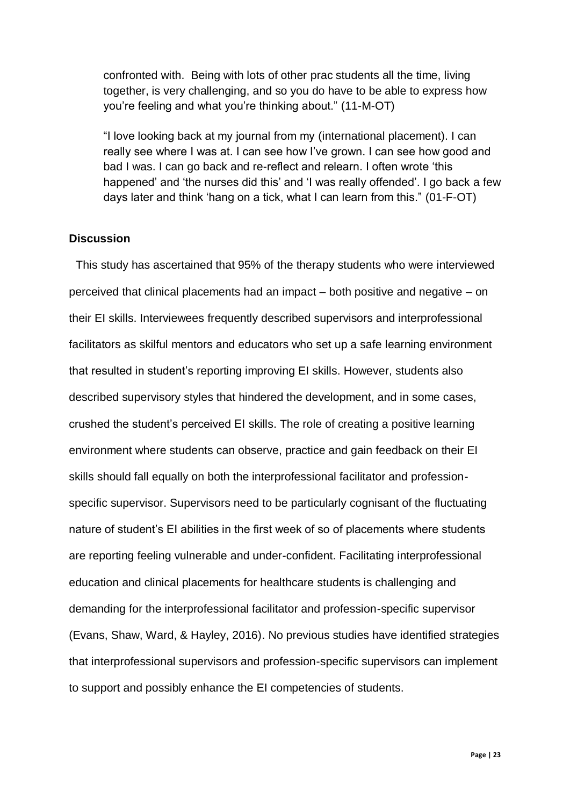confronted with. Being with lots of other prac students all the time, living together, is very challenging, and so you do have to be able to express how you're feeling and what you're thinking about." (11-M-OT)

"I love looking back at my journal from my (international placement). I can really see where I was at. I can see how I've grown. I can see how good and bad I was. I can go back and re-reflect and relearn. I often wrote 'this happened' and 'the nurses did this' and 'I was really offended'. I go back a few days later and think 'hang on a tick, what I can learn from this." (01-F-OT)

#### **Discussion**

This study has ascertained that 95% of the therapy students who were interviewed perceived that clinical placements had an impact – both positive and negative – on their EI skills. Interviewees frequently described supervisors and interprofessional facilitators as skilful mentors and educators who set up a safe learning environment that resulted in student's reporting improving EI skills. However, students also described supervisory styles that hindered the development, and in some cases, crushed the student's perceived EI skills. The role of creating a positive learning environment where students can observe, practice and gain feedback on their EI skills should fall equally on both the interprofessional facilitator and professionspecific supervisor. Supervisors need to be particularly cognisant of the fluctuating nature of student's EI abilities in the first week of so of placements where students are reporting feeling vulnerable and under-confident. Facilitating interprofessional education and clinical placements for healthcare students is challenging and demanding for the interprofessional facilitator and profession-specific supervisor (Evans, Shaw, Ward, & Hayley, 2016). No previous studies have identified strategies that interprofessional supervisors and profession-specific supervisors can implement to support and possibly enhance the EI competencies of students.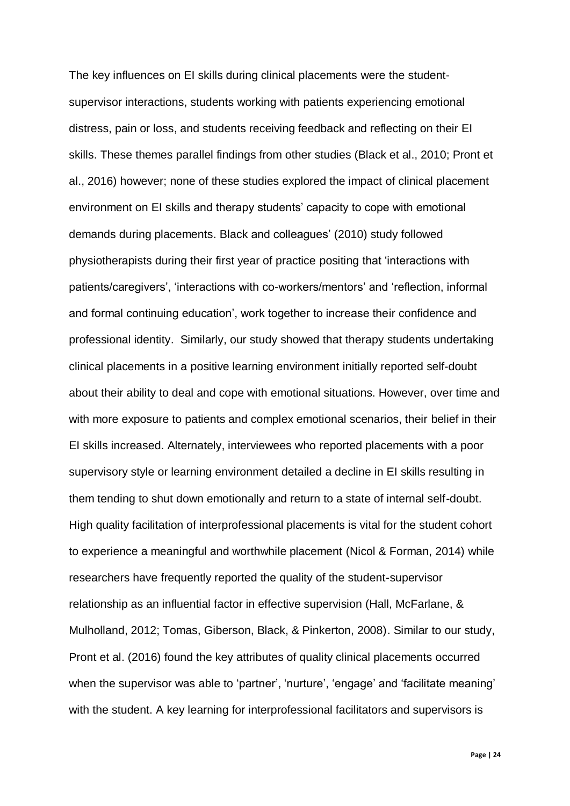The key influences on EI skills during clinical placements were the studentsupervisor interactions, students working with patients experiencing emotional distress, pain or loss, and students receiving feedback and reflecting on their EI skills. These themes parallel findings from other studies (Black et al., 2010; Pront et al., 2016) however; none of these studies explored the impact of clinical placement environment on EI skills and therapy students' capacity to cope with emotional demands during placements. Black and colleagues' (2010) study followed physiotherapists during their first year of practice positing that 'interactions with patients/caregivers', 'interactions with co-workers/mentors' and 'reflection, informal and formal continuing education', work together to increase their confidence and professional identity. Similarly, our study showed that therapy students undertaking clinical placements in a positive learning environment initially reported self-doubt about their ability to deal and cope with emotional situations. However, over time and with more exposure to patients and complex emotional scenarios, their belief in their EI skills increased. Alternately, interviewees who reported placements with a poor supervisory style or learning environment detailed a decline in EI skills resulting in them tending to shut down emotionally and return to a state of internal self-doubt. High quality facilitation of interprofessional placements is vital for the student cohort to experience a meaningful and worthwhile placement (Nicol & Forman, 2014) while researchers have frequently reported the quality of the student-supervisor relationship as an influential factor in effective supervision (Hall, McFarlane, & Mulholland, 2012; Tomas, Giberson, Black, & Pinkerton, 2008). Similar to our study, Pront et al. (2016) found the key attributes of quality clinical placements occurred when the supervisor was able to 'partner', 'nurture', 'engage' and 'facilitate meaning' with the student. A key learning for interprofessional facilitators and supervisors is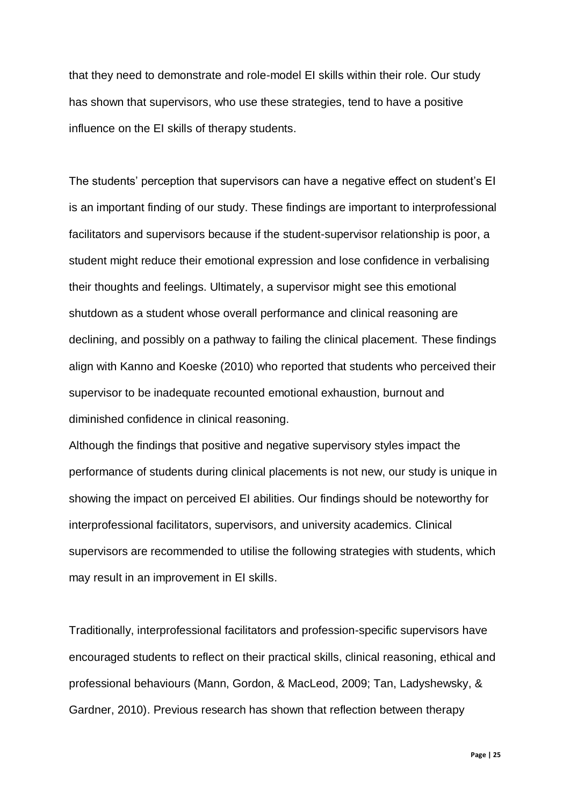that they need to demonstrate and role-model EI skills within their role. Our study has shown that supervisors, who use these strategies, tend to have a positive influence on the EI skills of therapy students.

The students' perception that supervisors can have a negative effect on student's EI is an important finding of our study. These findings are important to interprofessional facilitators and supervisors because if the student-supervisor relationship is poor, a student might reduce their emotional expression and lose confidence in verbalising their thoughts and feelings. Ultimately, a supervisor might see this emotional shutdown as a student whose overall performance and clinical reasoning are declining, and possibly on a pathway to failing the clinical placement. These findings align with Kanno and Koeske (2010) who reported that students who perceived their supervisor to be inadequate recounted emotional exhaustion, burnout and diminished confidence in clinical reasoning.

Although the findings that positive and negative supervisory styles impact the performance of students during clinical placements is not new, our study is unique in showing the impact on perceived EI abilities. Our findings should be noteworthy for interprofessional facilitators, supervisors, and university academics. Clinical supervisors are recommended to utilise the following strategies with students, which may result in an improvement in EI skills.

Traditionally, interprofessional facilitators and profession-specific supervisors have encouraged students to reflect on their practical skills, clinical reasoning, ethical and professional behaviours (Mann, Gordon, & MacLeod, 2009; Tan, Ladyshewsky, & Gardner, 2010). Previous research has shown that reflection between therapy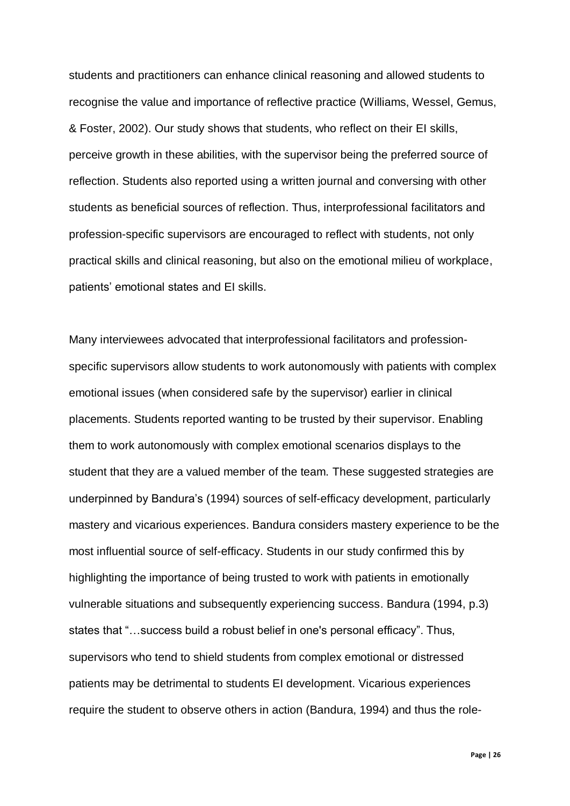students and practitioners can enhance clinical reasoning and allowed students to recognise the value and importance of reflective practice (Williams, Wessel, Gemus, & Foster, 2002). Our study shows that students, who reflect on their EI skills, perceive growth in these abilities, with the supervisor being the preferred source of reflection. Students also reported using a written journal and conversing with other students as beneficial sources of reflection. Thus, interprofessional facilitators and profession-specific supervisors are encouraged to reflect with students, not only practical skills and clinical reasoning, but also on the emotional milieu of workplace, patients' emotional states and EI skills.

Many interviewees advocated that interprofessional facilitators and professionspecific supervisors allow students to work autonomously with patients with complex emotional issues (when considered safe by the supervisor) earlier in clinical placements. Students reported wanting to be trusted by their supervisor. Enabling them to work autonomously with complex emotional scenarios displays to the student that they are a valued member of the team. These suggested strategies are underpinned by Bandura's (1994) sources of self-efficacy development, particularly mastery and vicarious experiences. Bandura considers mastery experience to be the most influential source of self-efficacy. Students in our study confirmed this by highlighting the importance of being trusted to work with patients in emotionally vulnerable situations and subsequently experiencing success. Bandura (1994, p.3) states that "…success build a robust belief in one's personal efficacy". Thus, supervisors who tend to shield students from complex emotional or distressed patients may be detrimental to students EI development. Vicarious experiences require the student to observe others in action (Bandura, 1994) and thus the role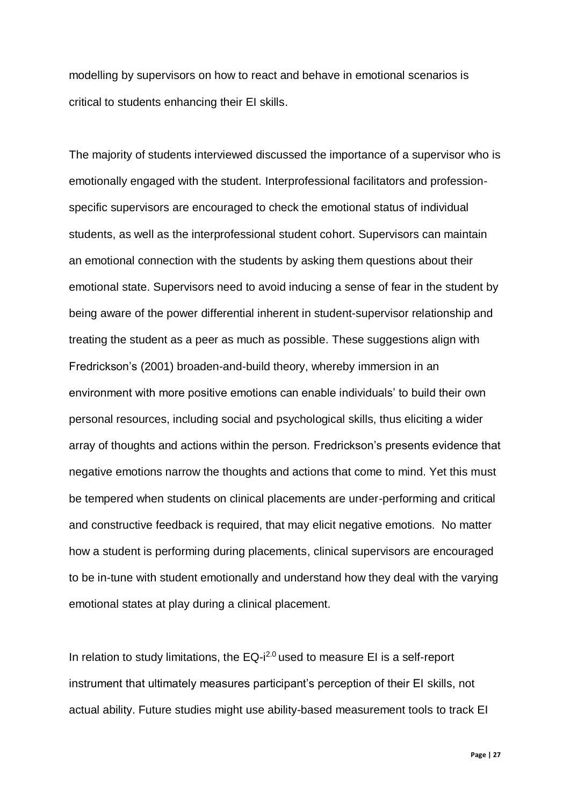modelling by supervisors on how to react and behave in emotional scenarios is critical to students enhancing their EI skills.

The majority of students interviewed discussed the importance of a supervisor who is emotionally engaged with the student. Interprofessional facilitators and professionspecific supervisors are encouraged to check the emotional status of individual students, as well as the interprofessional student cohort. Supervisors can maintain an emotional connection with the students by asking them questions about their emotional state. Supervisors need to avoid inducing a sense of fear in the student by being aware of the power differential inherent in student-supervisor relationship and treating the student as a peer as much as possible. These suggestions align with Fredrickson's (2001) broaden-and-build theory, whereby immersion in an environment with more positive emotions can enable individuals' to build their own personal resources, including social and psychological skills, thus eliciting a wider array of thoughts and actions within the person. Fredrickson's presents evidence that negative emotions narrow the thoughts and actions that come to mind. Yet this must be tempered when students on clinical placements are under-performing and critical and constructive feedback is required, that may elicit negative emotions. No matter how a student is performing during placements, clinical supervisors are encouraged to be in-tune with student emotionally and understand how they deal with the varying emotional states at play during a clinical placement.

In relation to study limitations, the  $EQ-i^{2.0}$  used to measure EI is a self-report instrument that ultimately measures participant's perception of their EI skills, not actual ability. Future studies might use ability-based measurement tools to track EI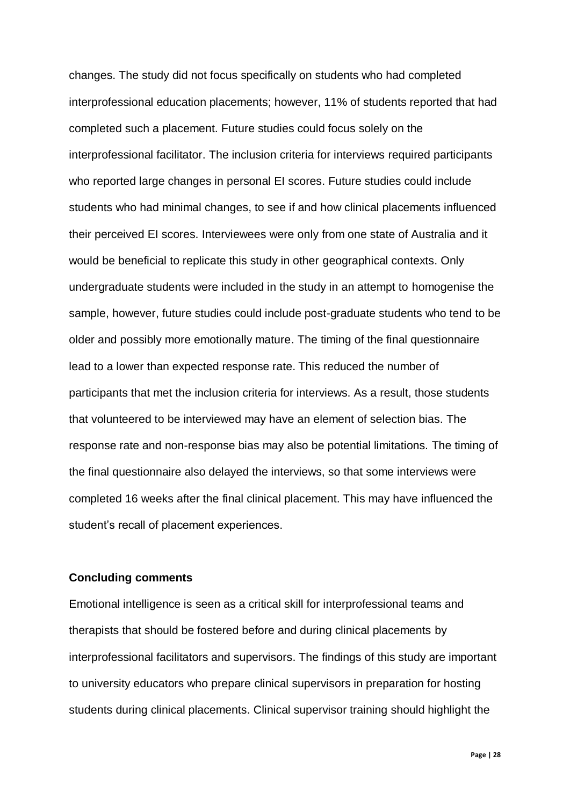changes. The study did not focus specifically on students who had completed interprofessional education placements; however, 11% of students reported that had completed such a placement. Future studies could focus solely on the interprofessional facilitator. The inclusion criteria for interviews required participants who reported large changes in personal EI scores. Future studies could include students who had minimal changes, to see if and how clinical placements influenced their perceived EI scores. Interviewees were only from one state of Australia and it would be beneficial to replicate this study in other geographical contexts. Only undergraduate students were included in the study in an attempt to homogenise the sample, however, future studies could include post-graduate students who tend to be older and possibly more emotionally mature. The timing of the final questionnaire lead to a lower than expected response rate. This reduced the number of participants that met the inclusion criteria for interviews. As a result, those students that volunteered to be interviewed may have an element of selection bias. The response rate and non-response bias may also be potential limitations. The timing of the final questionnaire also delayed the interviews, so that some interviews were completed 16 weeks after the final clinical placement. This may have influenced the student's recall of placement experiences.

#### **Concluding comments**

Emotional intelligence is seen as a critical skill for interprofessional teams and therapists that should be fostered before and during clinical placements by interprofessional facilitators and supervisors. The findings of this study are important to university educators who prepare clinical supervisors in preparation for hosting students during clinical placements. Clinical supervisor training should highlight the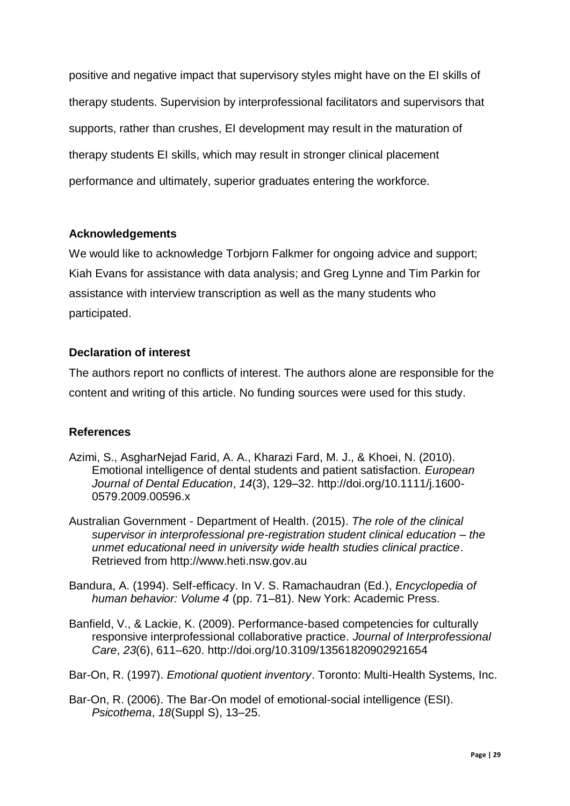positive and negative impact that supervisory styles might have on the EI skills of therapy students. Supervision by interprofessional facilitators and supervisors that supports, rather than crushes, EI development may result in the maturation of therapy students EI skills, which may result in stronger clinical placement performance and ultimately, superior graduates entering the workforce.

## **Acknowledgements**

We would like to acknowledge Torbjorn Falkmer for ongoing advice and support; Kiah Evans for assistance with data analysis; and Greg Lynne and Tim Parkin for assistance with interview transcription as well as the many students who participated.

## **Declaration of interest**

The authors report no conflicts of interest. The authors alone are responsible for the content and writing of this article. No funding sources were used for this study.

## **References**

- Azimi, S., AsgharNejad Farid, A. A., Kharazi Fard, M. J., & Khoei, N. (2010). Emotional intelligence of dental students and patient satisfaction. *European Journal of Dental Education*, *14*(3), 129–32. http://doi.org/10.1111/j.1600- 0579.2009.00596.x
- Australian Government Department of Health. (2015). *The role of the clinical supervisor in interprofessional pre-registration student clinical education – the unmet educational need in university wide health studies clinical practice*. Retrieved from http://www.heti.nsw.gov.au
- Bandura, A. (1994). Self-efficacy. In V. S. Ramachaudran (Ed.), *Encyclopedia of human behavior: Volume 4* (pp. 71–81). New York: Academic Press.
- Banfield, V., & Lackie, K. (2009). Performance-based competencies for culturally responsive interprofessional collaborative practice. *Journal of Interprofessional Care*, *23*(6), 611–620. http://doi.org/10.3109/13561820902921654
- Bar-On, R. (1997). *Emotional quotient inventory*. Toronto: Multi-Health Systems, Inc.
- Bar-On, R. (2006). The Bar-On model of emotional-social intelligence (ESI). *Psicothema*, *18*(Suppl S), 13–25.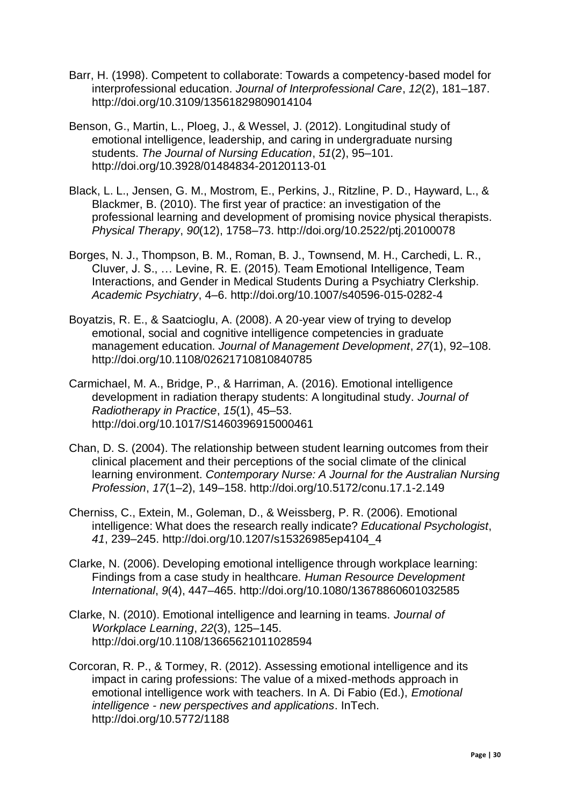- Barr, H. (1998). Competent to collaborate: Towards a competency-based model for interprofessional education. *Journal of Interprofessional Care*, *12*(2), 181–187. http://doi.org/10.3109/13561829809014104
- Benson, G., Martin, L., Ploeg, J., & Wessel, J. (2012). Longitudinal study of emotional intelligence, leadership, and caring in undergraduate nursing students. *The Journal of Nursing Education*, *51*(2), 95–101. http://doi.org/10.3928/01484834-20120113-01
- Black, L. L., Jensen, G. M., Mostrom, E., Perkins, J., Ritzline, P. D., Hayward, L., & Blackmer, B. (2010). The first year of practice: an investigation of the professional learning and development of promising novice physical therapists. *Physical Therapy*, *90*(12), 1758–73. http://doi.org/10.2522/ptj.20100078
- Borges, N. J., Thompson, B. M., Roman, B. J., Townsend, M. H., Carchedi, L. R., Cluver, J. S., … Levine, R. E. (2015). Team Emotional Intelligence, Team Interactions, and Gender in Medical Students During a Psychiatry Clerkship. *Academic Psychiatry*, 4–6. http://doi.org/10.1007/s40596-015-0282-4
- Boyatzis, R. E., & Saatcioglu, A. (2008). A 20-year view of trying to develop emotional, social and cognitive intelligence competencies in graduate management education. *Journal of Management Development*, *27*(1), 92–108. http://doi.org/10.1108/02621710810840785
- Carmichael, M. A., Bridge, P., & Harriman, A. (2016). Emotional intelligence development in radiation therapy students: A longitudinal study. *Journal of Radiotherapy in Practice*, *15*(1), 45–53. http://doi.org/10.1017/S1460396915000461
- Chan, D. S. (2004). The relationship between student learning outcomes from their clinical placement and their perceptions of the social climate of the clinical learning environment. *Contemporary Nurse: A Journal for the Australian Nursing Profession*, *17*(1–2), 149–158. http://doi.org/10.5172/conu.17.1-2.149
- Cherniss, C., Extein, M., Goleman, D., & Weissberg, P. R. (2006). Emotional intelligence: What does the research really indicate? *Educational Psychologist*, *41*, 239–245. http://doi.org/10.1207/s15326985ep4104\_4
- Clarke, N. (2006). Developing emotional intelligence through workplace learning: Findings from a case study in healthcare. *Human Resource Development International*, *9*(4), 447–465. http://doi.org/10.1080/13678860601032585
- Clarke, N. (2010). Emotional intelligence and learning in teams. *Journal of Workplace Learning*, *22*(3), 125–145. http://doi.org/10.1108/13665621011028594
- Corcoran, R. P., & Tormey, R. (2012). Assessing emotional intelligence and its impact in caring professions: The value of a mixed-methods approach in emotional intelligence work with teachers. In A. Di Fabio (Ed.), *Emotional intelligence - new perspectives and applications*. InTech. http://doi.org/10.5772/1188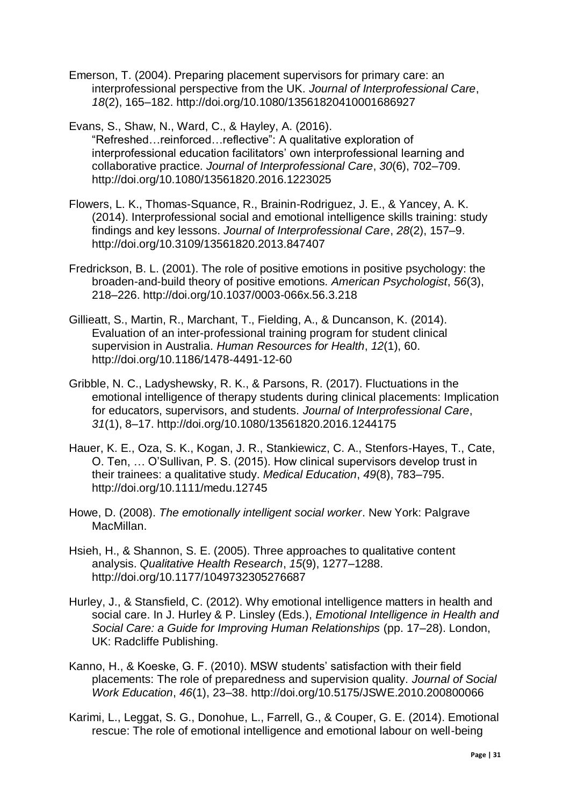- Emerson, T. (2004). Preparing placement supervisors for primary care: an interprofessional perspective from the UK. *Journal of Interprofessional Care*, *18*(2), 165–182. http://doi.org/10.1080/13561820410001686927
- Evans, S., Shaw, N., Ward, C., & Hayley, A. (2016). "Refreshed…reinforced…reflective": A qualitative exploration of interprofessional education facilitators' own interprofessional learning and collaborative practice. *Journal of Interprofessional Care*, *30*(6), 702–709. http://doi.org/10.1080/13561820.2016.1223025
- Flowers, L. K., Thomas-Squance, R., Brainin-Rodriguez, J. E., & Yancey, A. K. (2014). Interprofessional social and emotional intelligence skills training: study findings and key lessons. *Journal of Interprofessional Care*, *28*(2), 157–9. http://doi.org/10.3109/13561820.2013.847407
- Fredrickson, B. L. (2001). The role of positive emotions in positive psychology: the broaden-and-build theory of positive emotions. *American Psychologist*, *56*(3), 218–226. http://doi.org/10.1037/0003-066x.56.3.218
- Gillieatt, S., Martin, R., Marchant, T., Fielding, A., & Duncanson, K. (2014). Evaluation of an inter-professional training program for student clinical supervision in Australia. *Human Resources for Health*, *12*(1), 60. http://doi.org/10.1186/1478-4491-12-60
- Gribble, N. C., Ladyshewsky, R. K., & Parsons, R. (2017). Fluctuations in the emotional intelligence of therapy students during clinical placements: Implication for educators, supervisors, and students. *Journal of Interprofessional Care*, *31*(1), 8–17. http://doi.org/10.1080/13561820.2016.1244175
- Hauer, K. E., Oza, S. K., Kogan, J. R., Stankiewicz, C. A., Stenfors-Hayes, T., Cate, O. Ten, … O'Sullivan, P. S. (2015). How clinical supervisors develop trust in their trainees: a qualitative study. *Medical Education*, *49*(8), 783–795. http://doi.org/10.1111/medu.12745
- Howe, D. (2008). *The emotionally intelligent social worker*. New York: Palgrave MacMillan.
- Hsieh, H., & Shannon, S. E. (2005). Three approaches to qualitative content analysis. *Qualitative Health Research*, *15*(9), 1277–1288. http://doi.org/10.1177/1049732305276687
- Hurley, J., & Stansfield, C. (2012). Why emotional intelligence matters in health and social care. In J. Hurley & P. Linsley (Eds.), *Emotional Intelligence in Health and Social Care: a Guide for Improving Human Relationships* (pp. 17–28). London, UK: Radcliffe Publishing.
- Kanno, H., & Koeske, G. F. (2010). MSW students' satisfaction with their field placements: The role of preparedness and supervision quality. *Journal of Social Work Education*, *46*(1), 23–38. http://doi.org/10.5175/JSWE.2010.200800066
- Karimi, L., Leggat, S. G., Donohue, L., Farrell, G., & Couper, G. E. (2014). Emotional rescue: The role of emotional intelligence and emotional labour on well-being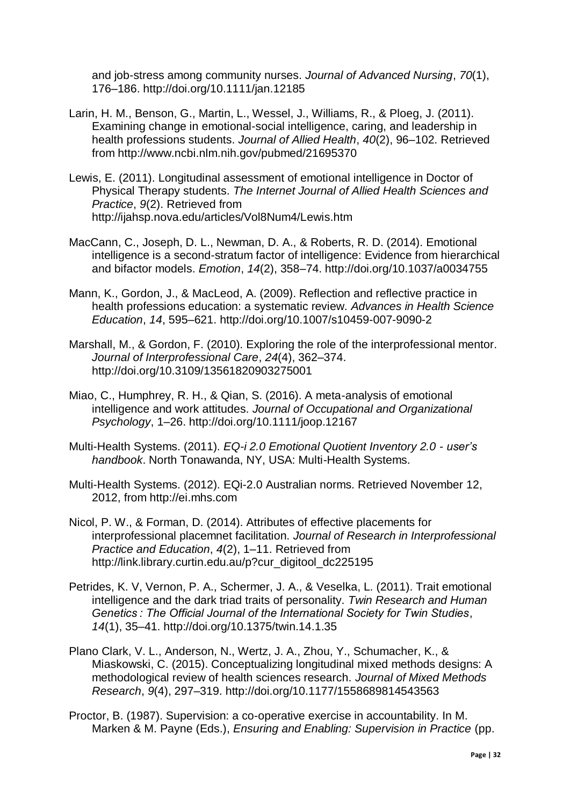and job-stress among community nurses. *Journal of Advanced Nursing*, *70*(1), 176–186. http://doi.org/10.1111/jan.12185

- Larin, H. M., Benson, G., Martin, L., Wessel, J., Williams, R., & Ploeg, J. (2011). Examining change in emotional-social intelligence, caring, and leadership in health professions students. *Journal of Allied Health*, *40*(2), 96–102. Retrieved from http://www.ncbi.nlm.nih.gov/pubmed/21695370
- Lewis, E. (2011). Longitudinal assessment of emotional intelligence in Doctor of Physical Therapy students. *The Internet Journal of Allied Health Sciences and Practice*, *9*(2). Retrieved from http://ijahsp.nova.edu/articles/Vol8Num4/Lewis.htm
- MacCann, C., Joseph, D. L., Newman, D. A., & Roberts, R. D. (2014). Emotional intelligence is a second-stratum factor of intelligence: Evidence from hierarchical and bifactor models. *Emotion*, *14*(2), 358–74. http://doi.org/10.1037/a0034755
- Mann, K., Gordon, J., & MacLeod, A. (2009). Reflection and reflective practice in health professions education: a systematic review. *Advances in Health Science Education*, *14*, 595–621. http://doi.org/10.1007/s10459-007-9090-2
- Marshall, M., & Gordon, F. (2010). Exploring the role of the interprofessional mentor. *Journal of Interprofessional Care*, *24*(4), 362–374. http://doi.org/10.3109/13561820903275001
- Miao, C., Humphrey, R. H., & Qian, S. (2016). A meta-analysis of emotional intelligence and work attitudes. *Journal of Occupational and Organizational Psychology*, 1–26. http://doi.org/10.1111/joop.12167
- Multi-Health Systems. (2011). *EQ-i 2.0 Emotional Quotient Inventory 2.0 - user's handbook*. North Tonawanda, NY, USA: Multi-Health Systems.
- Multi-Health Systems. (2012). EQi-2.0 Australian norms. Retrieved November 12, 2012, from http://ei.mhs.com
- Nicol, P. W., & Forman, D. (2014). Attributes of effective placements for interprofessional placemnet facilitation. *Journal of Research in Interprofessional Practice and Education*, *4*(2), 1–11. Retrieved from http://link.library.curtin.edu.au/p?cur\_digitool\_dc225195
- Petrides, K. V, Vernon, P. A., Schermer, J. A., & Veselka, L. (2011). Trait emotional intelligence and the dark triad traits of personality. *Twin Research and Human Genetics : The Official Journal of the International Society for Twin Studies*, *14*(1), 35–41. http://doi.org/10.1375/twin.14.1.35
- Plano Clark, V. L., Anderson, N., Wertz, J. A., Zhou, Y., Schumacher, K., & Miaskowski, C. (2015). Conceptualizing longitudinal mixed methods designs: A methodological review of health sciences research. *Journal of Mixed Methods Research*, *9*(4), 297–319. http://doi.org/10.1177/1558689814543563
- Proctor, B. (1987). Supervision: a co-operative exercise in accountability. In M. Marken & M. Payne (Eds.), *Ensuring and Enabling: Supervision in Practice* (pp.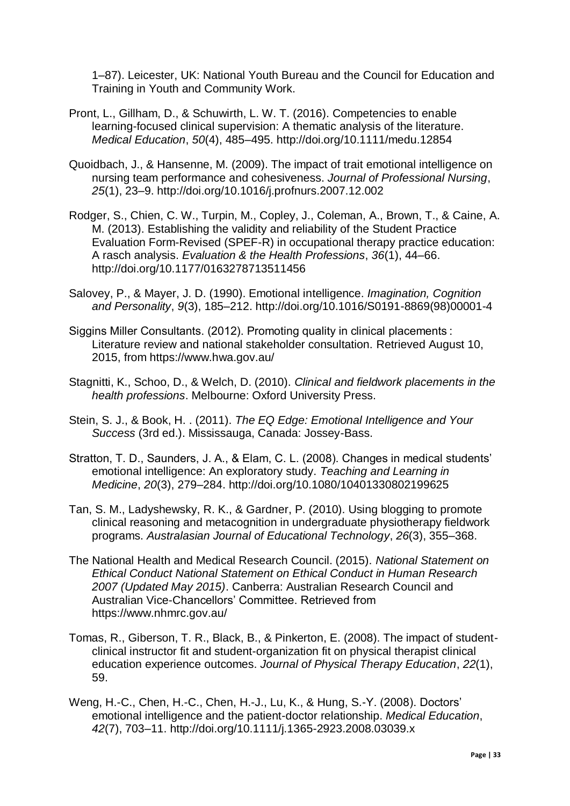1–87). Leicester, UK: National Youth Bureau and the Council for Education and Training in Youth and Community Work.

- Pront, L., Gillham, D., & Schuwirth, L. W. T. (2016). Competencies to enable learning-focused clinical supervision: A thematic analysis of the literature. *Medical Education*, *50*(4), 485–495. http://doi.org/10.1111/medu.12854
- Quoidbach, J., & Hansenne, M. (2009). The impact of trait emotional intelligence on nursing team performance and cohesiveness. *Journal of Professional Nursing*, *25*(1), 23–9. http://doi.org/10.1016/j.profnurs.2007.12.002
- Rodger, S., Chien, C. W., Turpin, M., Copley, J., Coleman, A., Brown, T., & Caine, A. M. (2013). Establishing the validity and reliability of the Student Practice Evaluation Form-Revised (SPEF-R) in occupational therapy practice education: A rasch analysis. *Evaluation & the Health Professions*, *36*(1), 44–66. http://doi.org/10.1177/0163278713511456
- Salovey, P., & Mayer, J. D. (1990). Emotional intelligence. *Imagination, Cognition and Personality*, *9*(3), 185–212. http://doi.org/10.1016/S0191-8869(98)00001-4
- Siggins Miller Consultants. (2012). Promoting quality in clinical placements : Literature review and national stakeholder consultation. Retrieved August 10, 2015, from https://www.hwa.gov.au/
- Stagnitti, K., Schoo, D., & Welch, D. (2010). *Clinical and fieldwork placements in the health professions*. Melbourne: Oxford University Press.
- Stein, S. J., & Book, H. . (2011). *The EQ Edge: Emotional Intelligence and Your Success* (3rd ed.). Mississauga, Canada: Jossey-Bass.
- Stratton, T. D., Saunders, J. A., & Elam, C. L. (2008). Changes in medical students' emotional intelligence: An exploratory study. *Teaching and Learning in Medicine*, *20*(3), 279–284. http://doi.org/10.1080/10401330802199625
- Tan, S. M., Ladyshewsky, R. K., & Gardner, P. (2010). Using blogging to promote clinical reasoning and metacognition in undergraduate physiotherapy fieldwork programs. *Australasian Journal of Educational Technology*, *26*(3), 355–368.
- The National Health and Medical Research Council. (2015). *National Statement on Ethical Conduct National Statement on Ethical Conduct in Human Research 2007 (Updated May 2015)*. Canberra: Australian Research Council and Australian Vice-Chancellors' Committee. Retrieved from https://www.nhmrc.gov.au/
- Tomas, R., Giberson, T. R., Black, B., & Pinkerton, E. (2008). The impact of studentclinical instructor fit and student-organization fit on physical therapist clinical education experience outcomes. *Journal of Physical Therapy Education*, *22*(1), 59.
- Weng, H.-C., Chen, H.-C., Chen, H.-J., Lu, K., & Hung, S.-Y. (2008). Doctors' emotional intelligence and the patient-doctor relationship. *Medical Education*, *42*(7), 703–11. http://doi.org/10.1111/j.1365-2923.2008.03039.x